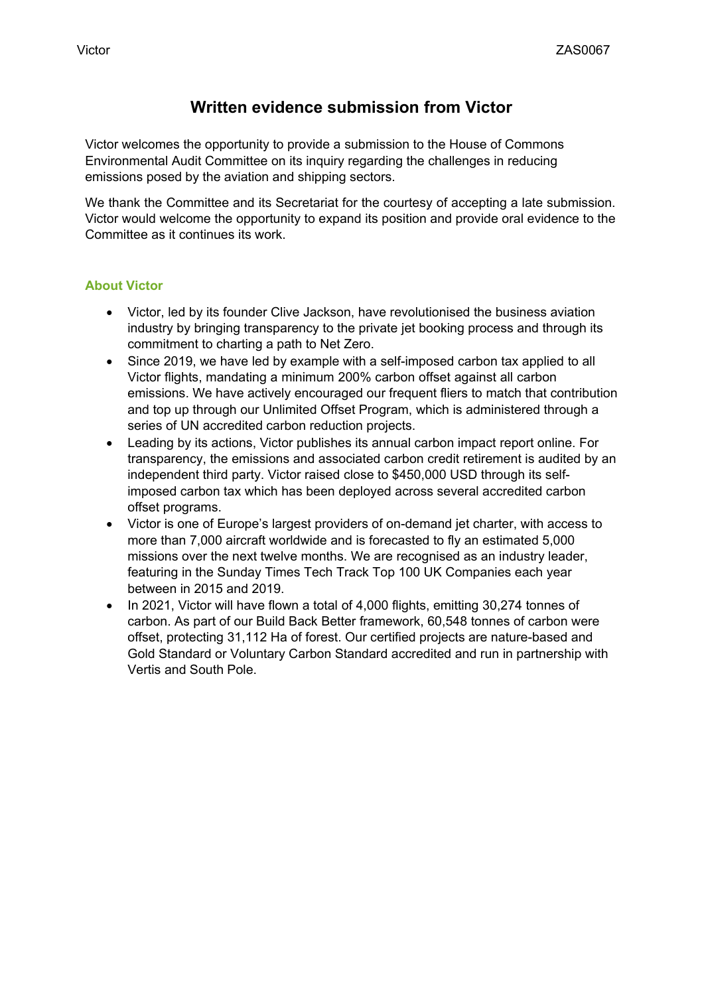# **Written evidence submission from Victor**

Victor welcomes the opportunity to provide a submission to the House of Commons Environmental Audit Committee on its inquiry regarding the challenges in reducing emissions posed by the aviation and shipping sectors.

We thank the Committee and its Secretariat for the courtesy of accepting a late submission. Victor would welcome the opportunity to expand its position and provide oral evidence to the Committee as it continues its work.

### **About Victor**

- Victor, led by its founder Clive Jackson, have revolutionised the business aviation industry by bringing transparency to the private jet booking process and through its commitment to charting a path to Net Zero.
- Since 2019, we have led by example with a self-imposed carbon tax applied to all Victor flights, mandating a minimum 200% carbon offset against all carbon emissions. We have actively encouraged our frequent fliers to match that contribution and top up through our Unlimited Offset Program, which is administered through a series of UN accredited carbon reduction projects.
- Leading by its actions, Victor publishes its annual carbon impact report online. For transparency, the emissions and associated carbon credit retirement is audited by an independent third party. Victor raised close to \$450,000 USD through its selfimposed carbon tax which has been deployed across several accredited carbon offset programs.
- Victor is one of Europe's largest providers of on-demand jet charter, with access to more than 7,000 aircraft worldwide and is forecasted to fly an estimated 5,000 missions over the next twelve months. We are recognised as an industry leader, featuring in the Sunday Times Tech Track Top 100 UK Companies each year between in 2015 and 2019.
- In 2021, Victor will have flown a total of 4,000 flights, emitting 30,274 tonnes of carbon. As part of our Build Back Better framework, 60,548 tonnes of carbon were offset, protecting 31,112 Ha of forest. Our certified projects are nature-based and Gold Standard or Voluntary Carbon Standard accredited and run in partnership with Vertis and South Pole.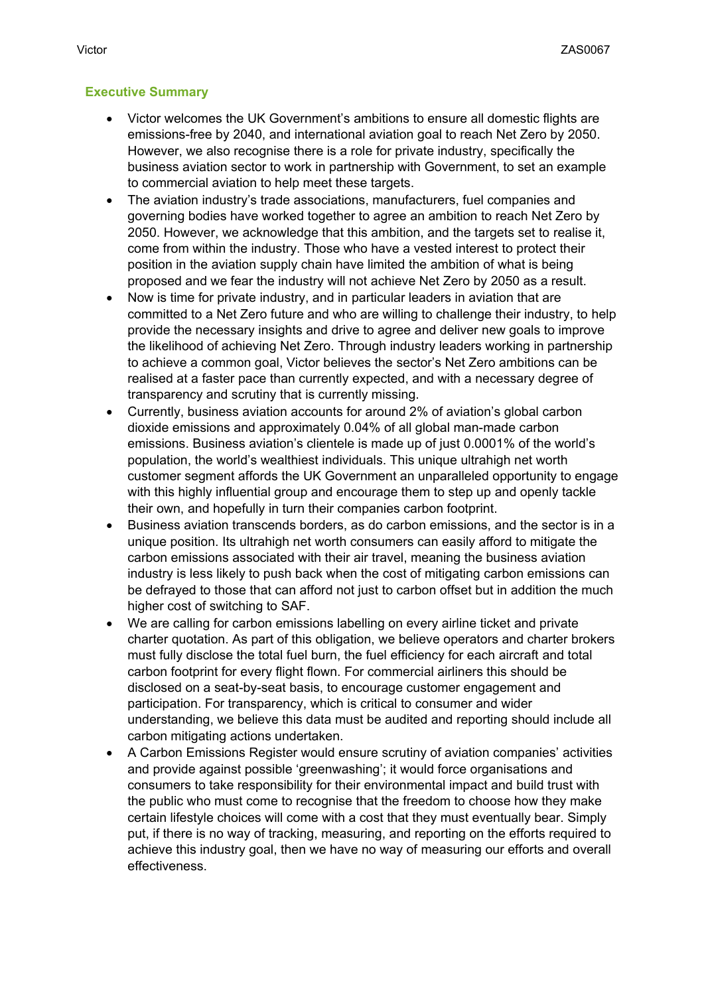## **Executive Summary**

- Victor welcomes the UK Government's ambitions to ensure all domestic flights are emissions-free by 2040, and international aviation goal to reach Net Zero by 2050. However, we also recognise there is a role for private industry, specifically the business aviation sector to work in partnership with Government, to set an example to commercial aviation to help meet these targets.
- The aviation industry's trade associations, manufacturers, fuel companies and governing bodies have worked together to agree an ambition to reach Net Zero by 2050. However, we acknowledge that this ambition, and the targets set to realise it, come from within the industry. Those who have a vested interest to protect their position in the aviation supply chain have limited the ambition of what is being proposed and we fear the industry will not achieve Net Zero by 2050 as a result.
- Now is time for private industry, and in particular leaders in aviation that are committed to a Net Zero future and who are willing to challenge their industry, to help provide the necessary insights and drive to agree and deliver new goals to improve the likelihood of achieving Net Zero. Through industry leaders working in partnership to achieve a common goal, Victor believes the sector's Net Zero ambitions can be realised at a faster pace than currently expected, and with a necessary degree of transparency and scrutiny that is currently missing.
- Currently, business aviation accounts for around 2% of aviation's global carbon dioxide emissions and approximately 0.04% of all global man-made carbon emissions. Business aviation's clientele is made up of just 0.0001% of the world's population, the world's wealthiest individuals. This unique ultrahigh net worth customer segment affords the UK Government an unparalleled opportunity to engage with this highly influential group and encourage them to step up and openly tackle their own, and hopefully in turn their companies carbon footprint.
- Business aviation transcends borders, as do carbon emissions, and the sector is in a unique position. Its ultrahigh net worth consumers can easily afford to mitigate the carbon emissions associated with their air travel, meaning the business aviation industry is less likely to push back when the cost of mitigating carbon emissions can be defrayed to those that can afford not just to carbon offset but in addition the much higher cost of switching to SAF.
- We are calling for carbon emissions labelling on every airline ticket and private charter quotation. As part of this obligation, we believe operators and charter brokers must fully disclose the total fuel burn, the fuel efficiency for each aircraft and total carbon footprint for every flight flown. For commercial airliners this should be disclosed on a seat-by-seat basis, to encourage customer engagement and participation. For transparency, which is critical to consumer and wider understanding, we believe this data must be audited and reporting should include all carbon mitigating actions undertaken.
- A Carbon Emissions Register would ensure scrutiny of aviation companies' activities and provide against possible 'greenwashing'; it would force organisations and consumers to take responsibility for their environmental impact and build trust with the public who must come to recognise that the freedom to choose how they make certain lifestyle choices will come with a cost that they must eventually bear. Simply put, if there is no way of tracking, measuring, and reporting on the efforts required to achieve this industry goal, then we have no way of measuring our efforts and overall effectiveness.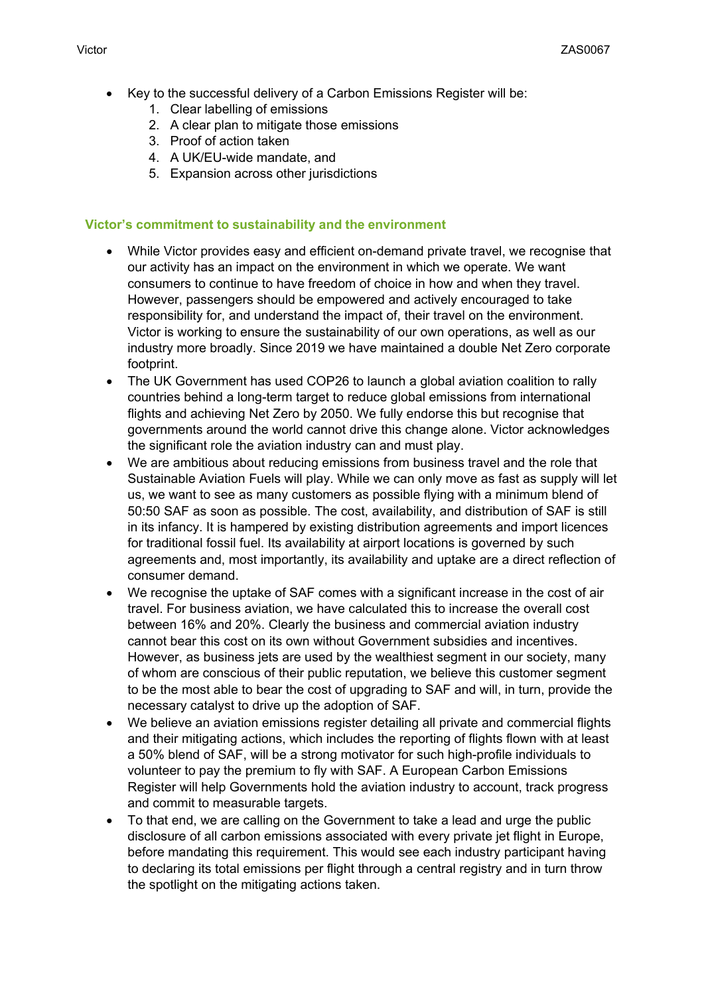- Key to the successful delivery of a Carbon Emissions Register will be:
	- 1. Clear labelling of emissions
	- 2. A clear plan to mitigate those emissions
	- 3. Proof of action taken
	- 4. A UK/EU-wide mandate, and
	- 5. Expansion across other jurisdictions

#### **Victor's commitment to sustainability and the environment**

- While Victor provides easy and efficient on-demand private travel, we recognise that our activity has an impact on the environment in which we operate. We want consumers to continue to have freedom of choice in how and when they travel. However, passengers should be empowered and actively encouraged to take responsibility for, and understand the impact of, their travel on the environment. Victor is working to ensure the sustainability of our own operations, as well as our industry more broadly. Since 2019 we have maintained a double Net Zero corporate footprint.
- The UK Government has used COP26 to launch a global aviation coalition to rally countries behind a long-term target to reduce global emissions from international flights and achieving Net Zero by 2050. We fully endorse this but recognise that governments around the world cannot drive this change alone. Victor acknowledges the significant role the aviation industry can and must play.
- We are ambitious about reducing emissions from business travel and the role that Sustainable Aviation Fuels will play. While we can only move as fast as supply will let us, we want to see as many customers as possible flying with a minimum blend of 50:50 SAF as soon as possible. The cost, availability, and distribution of SAF is still in its infancy. It is hampered by existing distribution agreements and import licences for traditional fossil fuel. Its availability at airport locations is governed by such agreements and, most importantly, its availability and uptake are a direct reflection of consumer demand.
- We recognise the uptake of SAF comes with a significant increase in the cost of air travel. For business aviation, we have calculated this to increase the overall cost between 16% and 20%. Clearly the business and commercial aviation industry cannot bear this cost on its own without Government subsidies and incentives. However, as business jets are used by the wealthiest segment in our society, many of whom are conscious of their public reputation, we believe this customer segment to be the most able to bear the cost of upgrading to SAF and will, in turn, provide the necessary catalyst to drive up the adoption of SAF.
- We believe an aviation emissions register detailing all private and commercial flights and their mitigating actions, which includes the reporting of flights flown with at least a 50% blend of SAF, will be a strong motivator for such high-profile individuals to volunteer to pay the premium to fly with SAF. A European Carbon Emissions Register will help Governments hold the aviation industry to account, track progress and commit to measurable targets.
- To that end, we are calling on the Government to take a lead and urge the public disclosure of all carbon emissions associated with every private jet flight in Europe, before mandating this requirement. This would see each industry participant having to declaring its total emissions per flight through a central registry and in turn throw the spotlight on the mitigating actions taken.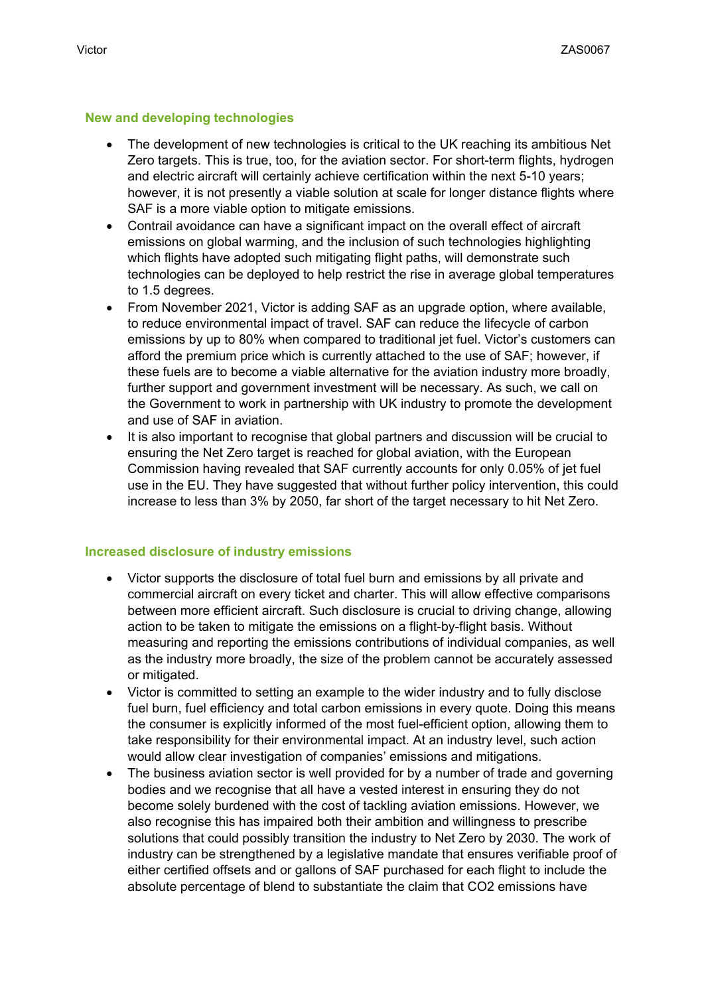#### **New and developing technologies**

- The development of new technologies is critical to the UK reaching its ambitious Net Zero targets. This is true, too, for the aviation sector. For short-term flights, hydrogen and electric aircraft will certainly achieve certification within the next 5-10 years; however, it is not presently a viable solution at scale for longer distance flights where SAF is a more viable option to mitigate emissions.
- Contrail avoidance can have a significant impact on the overall effect of aircraft emissions on global warming, and the inclusion of such technologies highlighting which flights have adopted such mitigating flight paths, will demonstrate such technologies can be deployed to help restrict the rise in average global temperatures to 1.5 degrees.
- From November 2021, Victor is adding SAF as an upgrade option, where available, to reduce environmental impact of travel. SAF can reduce the lifecycle of carbon emissions by up to 80% when compared to traditional jet fuel. Victor's customers can afford the premium price which is currently attached to the use of SAF; however, if these fuels are to become a viable alternative for the aviation industry more broadly, further support and government investment will be necessary. As such, we call on the Government to work in partnership with UK industry to promote the development and use of SAF in aviation.
- It is also important to recognise that global partners and discussion will be crucial to ensuring the Net Zero target is reached for global aviation, with the European Commission having revealed that SAF currently accounts for only 0.05% of jet fuel use in the EU. They have suggested that without further policy intervention, this could increase to less than 3% by 2050, far short of the target necessary to hit Net Zero.

#### **Increased disclosure of industry emissions**

- Victor supports the disclosure of total fuel burn and emissions by all private and commercial aircraft on every ticket and charter. This will allow effective comparisons between more efficient aircraft. Such disclosure is crucial to driving change, allowing action to be taken to mitigate the emissions on a flight-by-flight basis. Without measuring and reporting the emissions contributions of individual companies, as well as the industry more broadly, the size of the problem cannot be accurately assessed or mitigated.
- Victor is committed to setting an example to the wider industry and to fully disclose fuel burn, fuel efficiency and total carbon emissions in every quote. Doing this means the consumer is explicitly informed of the most fuel-efficient option, allowing them to take responsibility for their environmental impact. At an industry level, such action would allow clear investigation of companies' emissions and mitigations.
- The business aviation sector is well provided for by a number of trade and governing bodies and we recognise that all have a vested interest in ensuring they do not become solely burdened with the cost of tackling aviation emissions. However, we also recognise this has impaired both their ambition and willingness to prescribe solutions that could possibly transition the industry to Net Zero by 2030. The work of industry can be strengthened by a legislative mandate that ensures verifiable proof of either certified offsets and or gallons of SAF purchased for each flight to include the absolute percentage of blend to substantiate the claim that CO2 emissions have